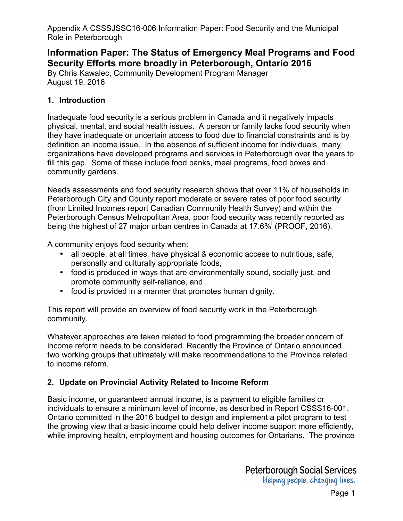# **Information Paper: The Status of Emergency Meal Programs and Food Security Efforts more broadly in Peterborough, Ontario 2016**

[By Chris Kawalec, Community Development Program Manager](http://proof.utoronto.ca/wp-content/uploads/2016/04/Household-Food-Insecurity-in-Canada-2014.pdf%20PROOF%202016)  August 19, 2016

#### **[1. Introduction](http://www.health.gov.on.ca/en/pro/programs/publichealth/oph_standards/docs/ophs_2008.pdf)**

Inadequate food security is a serious problem in Canada and it negatively impacts physical, mental, and social health issues. A person or family lacks food security when they have inadequate or uncertain access to food due to financial constraints and is by definition an income issue. In the absence of sufficient income for individuals, many organizations have developed programs and services in Peterborough over the years to [fill this gap. Some of these include food banks, meal programs, food boxes and](http://www.peterboroughpublichealth.ca/wp-content/uploads/2011/09/2015-Limited-Incomes_final.pdf)  community gardens.

Needs assessments and food security research shows that over 11% of households in Peterborough City and County report moderate or severe rates of poor food security [\(from Limited Incomes report Canadian Community Health Survey\) and within the](http://www.foodinpeterborough.ca/wp-content/uploads/2014/07/150319-PCFN-Terms-of-Reference.pdf)  Peterborough Census Metropolitan Area, poor food security was recently reported as being the highest of 27 major urban centres in Canada at 17.6% (PROOF, 2016).

[A community enjoys food security when:](https://www.osnpph.on.ca/upload/membership/document/2016-02/position-statement-2015-final.pdf#upload/membership/document/position-statement-2015-final.pdf) 

- all people, at all times, have physical & economic access to nutritious, safe, personally and culturally appropriate foods,
- food is produced in ways that are environmentally sound, socially just, and promote community self-reliance, and
- food is provided in a manner that promotes human dignity.

This report will provide an overview of food security work in the Peterborough community.

Whatever approaches are taken related to food programming the broader concern of income reform needs to be considered. Recently the Province of Ontario announced two working groups that ultimately will make recommendations to the Province related to income reform.

### **2. Update on Provincial Activity Related to Income Reform**

Basic income, or guaranteed annual income, is a payment to eligible families or individuals to ensure a minimum level of income, as described in Report CSSS16-001. Ontario committed in the 2016 budget to design and implement a pilot program to test the growing view that a basic income could help deliver income support more efficiently, while improving health, employment and housing outcomes for Ontarians. The province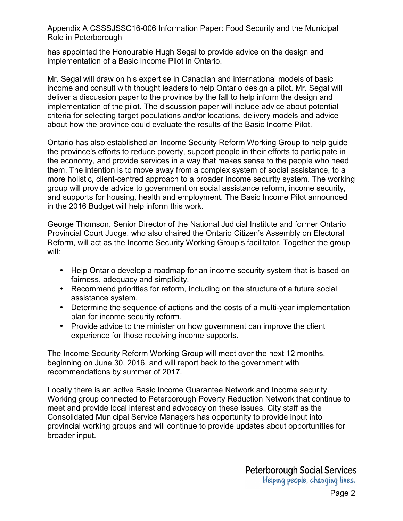has appointed the Honourable Hugh Segal to provide advice on the design and implementation of a Basic Income Pilot in Ontario.

Mr. Segal will draw on his expertise in Canadian and international models of basic income and consult with thought leaders to help Ontario design a pilot. Mr. Segal will deliver a discussion paper to the province by the fall to help inform the design and implementation of the pilot. The discussion paper will include advice about potential criteria for selecting target populations and/or locations, delivery models and advice about how the province could evaluate the results of the Basic Income Pilot.

Ontario has also established an Income Security Reform Working Group to help guide the province's efforts to reduce poverty, support people in their efforts to participate in the economy, and provide services in a way that makes sense to the people who need them. The intention is to move away from a complex system of social assistance, to a more holistic, client-centred approach to a broader income security system. The working group will provide advice to government on social assistance reform, income security, and supports for housing, health and employment. The Basic Income Pilot announced in the 2016 Budget will help inform this work.

George Thomson, Senior Director of the National Judicial Institute and former Ontario Provincial Court Judge, who also chaired the Ontario Citizen's Assembly on Electoral Reform, will act as the Income Security Working Group's facilitator. Together the group will:

- Help Ontario develop a roadmap for an income security system that is based on fairness, adequacy and simplicity.
- Recommend priorities for reform, including on the structure of a future social assistance system.
- Determine the sequence of actions and the costs of a multi-year implementation plan for income security reform.
- Provide advice to the minister on how government can improve the client experience for those receiving income supports.

The Income Security Reform Working Group will meet over the next 12 months, beginning on June 30, 2016, and will report back to the government with recommendations by summer of 2017.

Locally there is an active Basic Income Guarantee Network and Income security Working group connected to Peterborough Poverty Reduction Network that continue to meet and provide local interest and advocacy on these issues. City staff as the Consolidated Municipal Service Managers has opportunity to provide input into provincial working groups and will continue to provide updates about opportunities for broader input.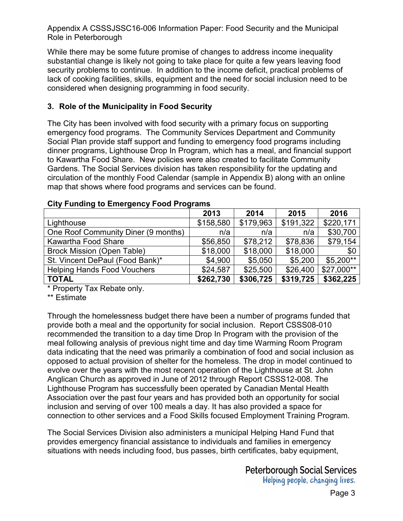While there may be some future promise of changes to address income inequality substantial change is likely not going to take place for quite a few years leaving food security problems to continue. In addition to the income deficit, practical problems of lack of cooking facilities, skills, equipment and the need for social inclusion need to be considered when designing programming in food security.

### **3. Role of the Municipality in Food Security**

The City has been involved with food security with a primary focus on supporting emergency food programs. The Community Services Department and Community Social Plan provide staff support and funding to emergency food programs including dinner programs, Lighthouse Drop In Program, which has a meal, and financial support to Kawartha Food Share. New policies were also created to facilitate Community Gardens. The Social Services division has taken responsibility for the updating and circulation of the monthly Food Calendar (sample in Appendix B) along with an online map that shows where food programs and services can be found.

|                                     | 2013      | 2014      | 2015      | 2016       |
|-------------------------------------|-----------|-----------|-----------|------------|
| Lighthouse                          | \$158,580 | \$179,963 | \$191,322 | \$220,171  |
| One Roof Community Diner (9 months) | n/a       | n/a       | n/a       | \$30,700   |
| Kawartha Food Share                 | \$56,850  | \$78,212  | \$78,836  | \$79,154   |
| <b>Brock Mission (Open Table)</b>   | \$18,000  | \$18,000  | \$18,000  | \$0        |
| St. Vincent DePaul (Food Bank)*     | \$4,900   | \$5,050   | \$5,200   | $$5,200**$ |
| <b>Helping Hands Food Vouchers</b>  | \$24,587  | \$25,500  | \$26,400  | \$27,000** |
| <b>TOTAL</b>                        | \$262,730 | \$306,725 | \$319,725 | \$362,225  |

### **City Funding to Emergency Food Programs**

\* Property Tax Rebate only.

\*\* Estimate

Through the homelessness budget there have been a number of programs funded that provide both a meal and the opportunity for social inclusion. Report CSSS08-010 recommended the transition to a day time Drop In Program with the provision of the meal following analysis of previous night time and day time Warming Room Program data indicating that the need was primarily a combination of food and social inclusion as opposed to actual provision of shelter for the homeless. The drop in model continued to evolve over the years with the most recent operation of the Lighthouse at St. John Anglican Church as approved in June of 2012 through Report CSSS12-008. The Lighthouse Program has successfully been operated by Canadian Mental Health Association over the past four years and has provided both an opportunity for social inclusion and serving of over 100 meals a day. It has also provided a space for connection to other services and a Food Skills focused Employment Training Program.

The Social Services Division also administers a municipal Helping Hand Fund that provides emergency financial assistance to individuals and families in emergency situations with needs including food, bus passes, birth certificates, baby equipment,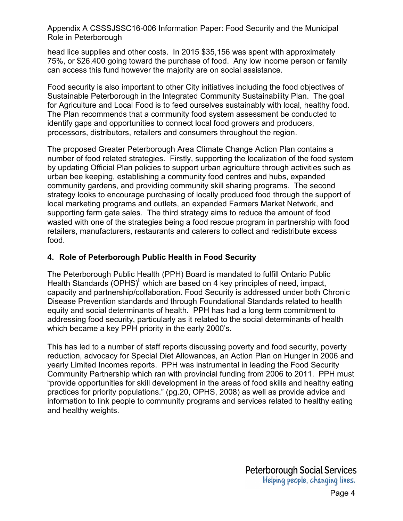head lice supplies and other costs. In 2015 \$35,156 was spent with approximately 75%, or \$26,400 going toward the purchase of food. Any low income person or family can access this fund however the majority are on social assistance.

Food security is also important to other City initiatives including the food objectives of Sustainable Peterborough in the Integrated Community Sustainability Plan. The goal for Agriculture and Local Food is to feed ourselves sustainably with local, healthy food. The Plan recommends that a community food system assessment be conducted to identify gaps and opportunities to connect local food growers and producers, processors, distributors, retailers and consumers throughout the region.

The proposed Greater Peterborough Area Climate Change Action Plan contains a number of food related strategies. Firstly, supporting the localization of the food system by updating Official Plan policies to support urban agriculture through activities such as urban bee keeping, establishing a community food centres and hubs, expanded community gardens, and providing community skill sharing programs. The second strategy looks to encourage purchasing of locally produced food through the support of local marketing programs and outlets, an expanded Farmers Market Network, and supporting farm gate sales. The third strategy aims to reduce the amount of food wasted with one of the strategies being a food rescue program in partnership with food retailers, manufacturers, restaurants and caterers to collect and redistribute excess food.

#### **4. Role of Peterborough Public Health in Food Security**

The Peterborough Public Health (PPH) Board is mandated to fulfill Ontario Public Health Standards (OPHS)<sup>ii</sup> which are based on 4 key principles of need, impact, capacity and partnership/collaboration. Food Security is addressed under both Chronic Disease Prevention standards and through Foundational Standards related to health equity and social determinants of health. PPH has had a long term commitment to addressing food security, particularly as it related to the social determinants of health which became a key PPH priority in the early 2000's.

This has led to a number of staff reports discussing poverty and food security, poverty reduction, advocacy for Special Diet Allowances, an Action Plan on Hunger in 2006 and yearly Limited Incomes reports. PPH was instrumental in leading the Food Security Community Partnership which ran with provincial funding from 2006 to 2011. PPH must "provide opportunities for skill development in the areas of food skills and healthy eating practices for priority populations." (pg.20, OPHS, 2008) as well as provide advice and information to link people to community programs and services related to healthy eating and healthy weights.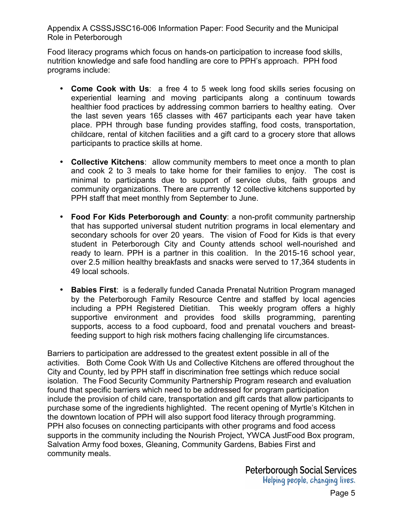Food literacy programs which focus on hands-on participation to increase food skills, nutrition knowledge and safe food handling are core to PPH's approach. PPH food programs include:

- **Come Cook with Us**: a free 4 to 5 week long food skills series focusing on experiential learning and moving participants along a continuum towards healthier food practices by addressing common barriers to healthy eating. Over the last seven years 165 classes with 467 participants each year have taken place. PPH through base funding provides staffing, food costs, transportation, childcare, rental of kitchen facilities and a gift card to a grocery store that allows participants to practice skills at home.
- **Collective Kitchens**: allow community members to meet once a month to plan and cook 2 to 3 meals to take home for their families to enjoy. The cost is minimal to participants due to support of service clubs, faith groups and community organizations. There are currently 12 collective kitchens supported by PPH staff that meet monthly from September to June.
- **Food For Kids Peterborough and County**: a non-profit community partnership that has supported universal student nutrition programs in local elementary and secondary schools for over 20 years. The vision of Food for Kids is that every student in Peterborough City and County attends school well-nourished and ready to learn. PPH is a partner in this coalition. In the 2015-16 school year, over 2.5 million healthy breakfasts and snacks were served to 17,364 students in 49 local schools.
- **Babies First**: is a federally funded Canada Prenatal Nutrition Program managed by the Peterborough Family Resource Centre and staffed by local agencies including a PPH Registered Dietitian. This weekly program offers a highly supportive environment and provides food skills programming, parenting supports, access to a food cupboard, food and prenatal vouchers and breastfeeding support to high risk mothers facing challenging life circumstances.

Barriers to participation are addressed to the greatest extent possible in all of the activities. Both Come Cook With Us and Collective Kitchens are offered throughout the City and County, led by PPH staff in discrimination free settings which reduce social isolation. The Food Security Community Partnership Program research and evaluation found that specific barriers which need to be addressed for program participation include the provision of child care, transportation and gift cards that allow participants to purchase some of the ingredients highlighted. The recent opening of Myrtle's Kitchen in the downtown location of PPH will also support food literacy through programming. PPH also focuses on connecting participants with other programs and food access supports in the community including the Nourish Project, YWCA JustFood Box program, Salvation Army food boxes, Gleaning, Community Gardens, Babies First and community meals.

> **Peterborough Social Services** Helping people, changing lives.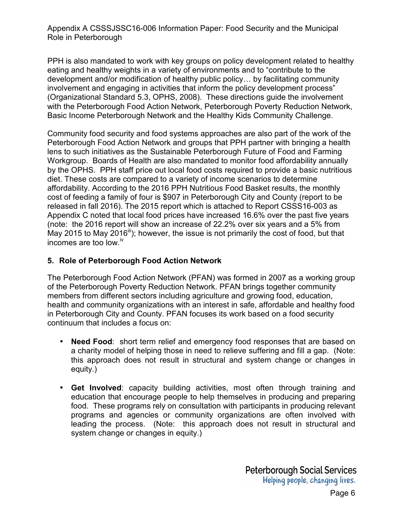PPH is also mandated to work with key groups on policy development related to healthy eating and healthy weights in a variety of environments and to "contribute to the development and/or modification of healthy public policy… by facilitating community involvement and engaging in activities that inform the policy development process" (Organizational Standard 5.3, OPHS, 2008). These directions guide the involvement with the Peterborough Food Action Network, Peterborough Poverty Reduction Network, Basic Income Peterborough Network and the Healthy Kids Community Challenge.

Community food security and food systems approaches are also part of the work of the Peterborough Food Action Network and groups that PPH partner with bringing a health lens to such initiatives as the Sustainable Peterborough Future of Food and Farming Workgroup. Boards of Health are also mandated to monitor food affordability annually by the OPHS. PPH staff price out local food costs required to provide a basic nutritious diet. These costs are compared to a variety of income scenarios to determine affordability. According to the 2016 PPH Nutritious Food Basket results, the monthly cost of feeding a family of four is \$907 in Peterborough City and County (report to be released in fall 2016). The 2015 report which is attached to Report CSSS16-003 as Appendix C noted that local food prices have increased 16.6% over the past five years (note: the 2016 report will show an increase of 22.2% over six years and a 5% from May 2015 to May 2016<sup>iii</sup>); however, the issue is not primarily the cost of food, but that incomes are too low.<sup>iv</sup>

### **5. Role of Peterborough Food Action Network**

The Peterborough Food Action Network (PFAN) was formed in 2007 as a working group of the Peterborough Poverty Reduction Network. PFAN brings together community members from different sectors including agriculture and growing food, education, health and community organizations with an interest in safe, affordable and healthy food in Peterborough City and County. PFAN focuses its work based on a food security continuum that includes a focus on:

- **Need Food**: short term relief and emergency food responses that are based on a charity model of helping those in need to relieve suffering and fill a gap. (Note: this approach does not result in structural and system change or changes in equity.)
- **Get Involved**: capacity building activities, most often through training and education that encourage people to help themselves in producing and preparing food. These programs rely on consultation with participants in producing relevant programs and agencies or community organizations are often involved with leading the process. (Note: this approach does not result in structural and system change or changes in equity.)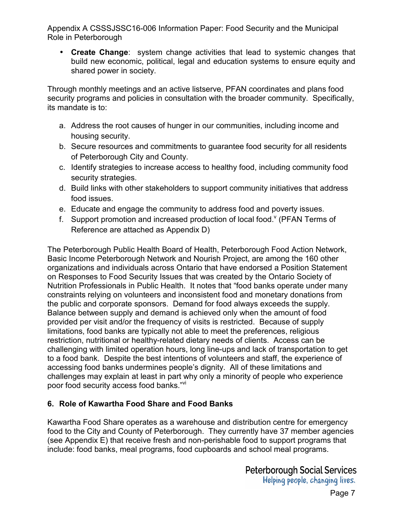• **Create Change**: system change activities that lead to systemic changes that build new economic, political, legal and education systems to ensure equity and shared power in society.

Through monthly meetings and an active listserve, PFAN coordinates and plans food security programs and policies in consultation with the broader community. Specifically, its mandate is to:

- a. Address the root causes of hunger in our communities, including income and housing security.
- b. Secure resources and commitments to guarantee food security for all residents of Peterborough City and County.
- c. Identify strategies to increase access to healthy food, including community food security strategies.
- d. Build links with other stakeholders to support community initiatives that address food issues.
- e. Educate and engage the community to address food and poverty issues.
- f. Support promotion and increased production of local food. $V$  (PFAN Terms of Reference are attached as Appendix D)

The Peterborough Public Health Board of Health, Peterborough Food Action Network, Basic Income Peterborough Network and Nourish Project, are among the 160 other organizations and individuals across Ontario that have endorsed a Position Statement on Responses to Food Security Issues that was created by the Ontario Society of Nutrition Professionals in Public Health. It notes that "food banks operate under many constraints relying on volunteers and inconsistent food and monetary donations from the public and corporate sponsors. Demand for food always exceeds the supply. Balance between supply and demand is achieved only when the amount of food provided per visit and/or the frequency of visits is restricted. Because of supply limitations, food banks are typically not able to meet the preferences, religious restriction, nutritional or healthy-related dietary needs of clients. Access can be challenging with limited operation hours, long line-ups and lack of transportation to get to a food bank. Despite the best intentions of volunteers and staff, the experience of accessing food banks undermines people's dignity. All of these limitations and challenges may explain at least in part why only a minority of people who experience poor food security access food banks."<sup>vi</sup>

## **6. Role of Kawartha Food Share and Food Banks**

Kawartha Food Share operates as a warehouse and distribution centre for emergency food to the City and County of Peterborough. They currently have 37 member agencies (see Appendix E) that receive fresh and non-perishable food to support programs that include: food banks, meal programs, food cupboards and school meal programs.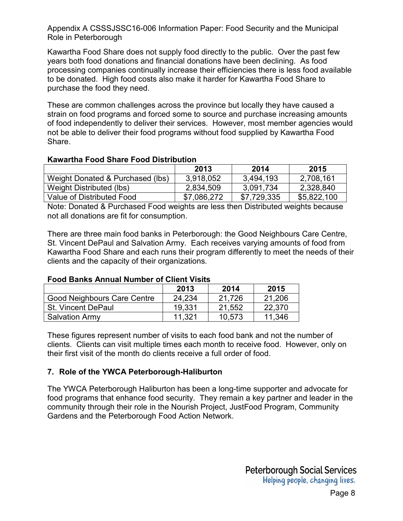Kawartha Food Share does not supply food directly to the public. Over the past few years both food donations and financial donations have been declining. As food processing companies continually increase their efficiencies there is less food available to be donated. High food costs also make it harder for Kawartha Food Share to purchase the food they need.

These are common challenges across the province but locally they have caused a strain on food programs and forced some to source and purchase increasing amounts of food independently to deliver their services. However, most member agencies would not be able to deliver their food programs without food supplied by Kawartha Food Share.

#### **Kawartha Food Share Food Distribution**

|                                  | 2013        | 2014        | 2015        |
|----------------------------------|-------------|-------------|-------------|
| Weight Donated & Purchased (lbs) | 3,918,052   | 3,494,193   | 2,708,161   |
| Weight Distributed (lbs)         | 2,834,509   | 3,091,734   | 2,328,840   |
| Value of Distributed Food        | \$7,086,272 | \$7,729,335 | \$5,822,100 |

Note: Donated & Purchased Food weights are less then Distributed weights because not all donations are fit for consumption.

There are three main food banks in Peterborough: the Good Neighbours Care Centre, St. Vincent DePaul and Salvation Army. Each receives varying amounts of food from Kawartha Food Share and each runs their program differently to meet the needs of their clients and the capacity of their organizations.

### **Food Banks Annual Number of Client Visits**

|                             | 2013   | 2014   | 2015   |
|-----------------------------|--------|--------|--------|
| Good Neighbours Care Centre | 24,234 | 21.726 | 21,206 |
| <b>St. Vincent DePaul</b>   | 19.331 | 21,552 | 22,370 |
| <b>Salvation Army</b>       | 11.321 | 10,573 | 11,346 |

These figures represent number of visits to each food bank and not the number of clients. Clients can visit multiple times each month to receive food. However, only on their first visit of the month do clients receive a full order of food.

### **7. Role of the YWCA Peterborough-Haliburton**

The YWCA Peterborough Haliburton has been a long-time supporter and advocate for food programs that enhance food security. They remain a key partner and leader in the community through their role in the Nourish Project, JustFood Program, Community Gardens and the Peterborough Food Action Network.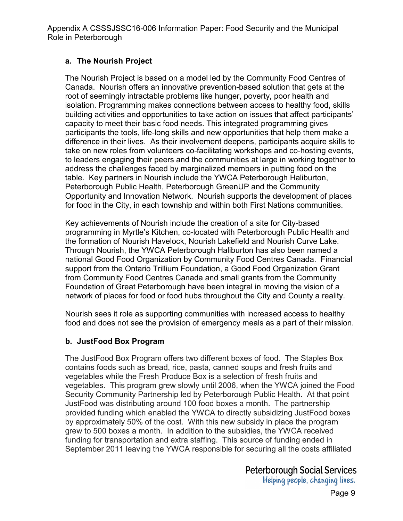### **a. The Nourish Project**

The Nourish Project is based on a model led by the Community Food Centres of Canada. Nourish offers an innovative prevention-based solution that gets at the root of seemingly intractable problems like hunger, poverty, poor health and isolation. Programming makes connections between access to healthy food, skills building activities and opportunities to take action on issues that affect participants' capacity to meet their basic food needs. This integrated programming gives participants the tools, life-long skills and new opportunities that help them make a difference in their lives. As their involvement deepens, participants acquire skills to take on new roles from volunteers co-facilitating workshops and co-hosting events, to leaders engaging their peers and the communities at large in working together to address the challenges faced by marginalized members in putting food on the table. Key partners in Nourish include the YWCA Peterborough Haliburton, Peterborough Public Health, Peterborough GreenUP and the Community Opportunity and Innovation Network. Nourish supports the development of places for food in the City, in each township and within both First Nations communities.

Key achievements of Nourish include the creation of a site for City-based programming in Myrtle's Kitchen, co-located with Peterborough Public Health and the formation of Nourish Havelock, Nourish Lakefield and Nourish Curve Lake. Through Nourish, the YWCA Peterborough Haliburton has also been named a national Good Food Organization by Community Food Centres Canada. Financial support from the Ontario Trillium Foundation, a Good Food Organization Grant from Community Food Centres Canada and small grants from the Community Foundation of Great Peterborough have been integral in moving the vision of a network of places for food or food hubs throughout the City and County a reality.

Nourish sees it role as supporting communities with increased access to healthy food and does not see the provision of emergency meals as a part of their mission.

### **b. JustFood Box Program**

The JustFood Box Program offers two different boxes of food. The Staples Box contains foods such as bread, rice, pasta, canned soups and fresh fruits and vegetables while the Fresh Produce Box is a selection of fresh fruits and vegetables. This program grew slowly until 2006, when the YWCA joined the Food Security Community Partnership led by Peterborough Public Health. At that point JustFood was distributing around 100 food boxes a month. The partnership provided funding which enabled the YWCA to directly subsidizing JustFood boxes by approximately 50% of the cost. With this new subsidy in place the program grew to 500 boxes a month. In addition to the subsidies, the YWCA received funding for transportation and extra staffing. This source of funding ended in September 2011 leaving the YWCA responsible for securing all the costs affiliated

> **Peterborough Social Services** Helping people, changing lives.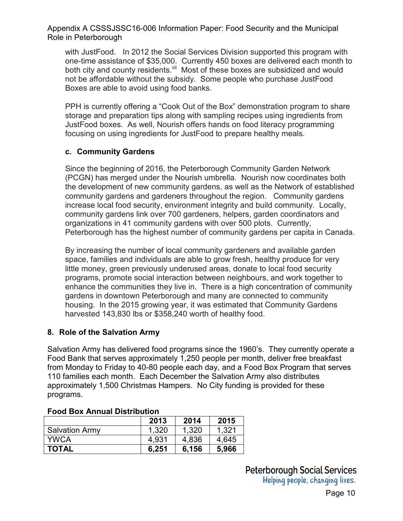with JustFood. In 2012 the Social Services Division supported this program with one-time assistance of \$35,000. Currently 450 boxes are delivered each month to both city and county residents.<sup>vii</sup> Most of these boxes are subsidized and would not be affordable without the subsidy. Some people who purchase JustFood Boxes are able to avoid using food banks.

PPH is currently offering a "Cook Out of the Box" demonstration program to share storage and preparation tips along with sampling recipes using ingredients from JustFood boxes. As well, Nourish offers hands on food literacy programming focusing on using ingredients for JustFood to prepare healthy meals.

### **c. Community Gardens**

Since the beginning of 2016, the Peterborough Community Garden Network (PCGN) has merged under the Nourish umbrella. Nourish now coordinates both the development of new community gardens, as well as the Network of established community gardens and gardeners throughout the region. Community gardens increase local food security, environment integrity and build community. Locally, community gardens link over 700 gardeners, helpers, garden coordinators and organizations in 41 community gardens with over 500 plots. Currently, Peterborough has the highest number of community gardens per capita in Canada.

By increasing the number of local community gardeners and available garden space, families and individuals are able to grow fresh, healthy produce for very little money, green previously underused areas, donate to local food security programs, promote social interaction between neighbours, and work together to enhance the communities they live in. There is a high concentration of community gardens in downtown Peterborough and many are connected to community housing. In the 2015 growing year, it was estimated that Community Gardens harvested 143,830 lbs or \$358,240 worth of healthy food.

### **8. Role of the Salvation Army**

Salvation Army has delivered food programs since the 1960's. They currently operate a Food Bank that serves approximately 1,250 people per month, deliver free breakfast from Monday to Friday to 40-80 people each day, and a Food Box Program that serves 110 families each month. Each December the Salvation Army also distributes approximately 1,500 Christmas Hampers. No City funding is provided for these programs.

|                       | 2013  | 2014  | 2015  |
|-----------------------|-------|-------|-------|
| <b>Salvation Army</b> | 1,320 | 1,320 | 1,321 |
| <b>YWCA</b>           | 4,931 | 4,836 | 4,645 |
| <b>TOTAL</b>          | 6.251 | 6,156 | 5,966 |

#### **Food Box Annual Distribution**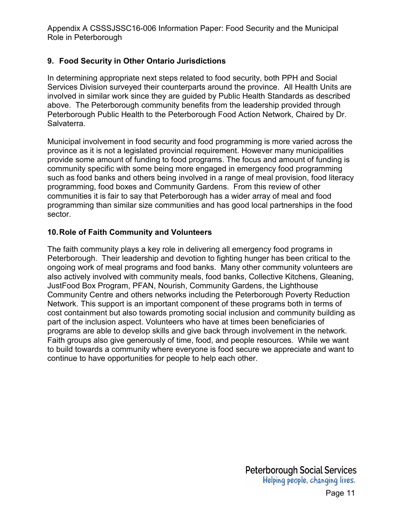### **9. Food Security in Other Ontario Jurisdictions**

In determining appropriate next steps related to food security, both PPH and Social Services Division surveyed their counterparts around the province. All Health Units are involved in similar work since they are guided by Public Health Standards as described above. The Peterborough community benefits from the leadership provided through Peterborough Public Health to the Peterborough Food Action Network, Chaired by Dr. Salvaterra.

Municipal involvement in food security and food programming is more varied across the province as it is not a legislated provincial requirement. However many municipalities provide some amount of funding to food programs. The focus and amount of funding is community specific with some being more engaged in emergency food programming such as food banks and others being involved in a range of meal provision, food literacy programming, food boxes and Community Gardens. From this review of other communities it is fair to say that Peterborough has a wider array of meal and food programming than similar size communities and has good local partnerships in the food sector.

#### **10. Role of Faith Community and Volunteers**

The faith community plays a key role in delivering all emergency food programs in Peterborough. Their leadership and devotion to fighting hunger has been critical to the ongoing work of meal programs and food banks. Many other community volunteers are also actively involved with community meals, food banks, Collective Kitchens, Gleaning, JustFood Box Program, PFAN, Nourish, Community Gardens, the Lighthouse Community Centre and others networks including the Peterborough Poverty Reduction Network. This support is an important component of these programs both in terms of cost containment but also towards promoting social inclusion and community building as part of the inclusion aspect. Volunteers who have at times been beneficiaries of programs are able to develop skills and give back through involvement in the network. Faith groups also give generously of time, food, and people resources. While we want to build towards a community where everyone is food secure we appreciate and want to continue to have opportunities for people to help each other.

> **Peterborough Social Services** Helping people, changing lives.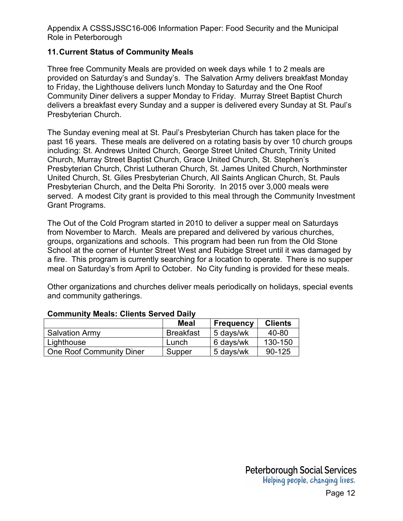#### **11. Current Status of Community Meals**

Three free Community Meals are provided on week days while 1 to 2 meals are provided on Saturday's and Sunday's. The Salvation Army delivers breakfast Monday to Friday, the Lighthouse delivers lunch Monday to Saturday and the One Roof Community Diner delivers a supper Monday to Friday. Murray Street Baptist Church delivers a breakfast every Sunday and a supper is delivered every Sunday at St. Paul's Presbyterian Church.

The Sunday evening meal at St. Paul's Presbyterian Church has taken place for the past 16 years. These meals are delivered on a rotating basis by over 10 church groups including: St. Andrews United Church, George Street United Church, Trinity United Church, Murray Street Baptist Church, Grace United Church, St. Stephen's Presbyterian Church, Christ Lutheran Church, St. James United Church, Northminster United Church, St. Giles Presbyterian Church, All Saints Anglican Church, St. Pauls Presbyterian Church, and the Delta Phi Sorority. In 2015 over 3,000 meals were served. A modest City grant is provided to this meal through the Community Investment Grant Programs.

The Out of the Cold Program started in 2010 to deliver a supper meal on Saturdays from November to March. Meals are prepared and delivered by various churches, groups, organizations and schools. This program had been run from the Old Stone School at the corner of Hunter Street West and Rubidge Street until it was damaged by a fire. This program is currently searching for a location to operate. There is no supper meal on Saturday's from April to October. No City funding is provided for these meals.

Other organizations and churches deliver meals periodically on holidays, special events and community gatherings.

|                          | <b>Meal</b>      | <b>Frequency</b> | <b>Clients</b> |
|--------------------------|------------------|------------------|----------------|
| <b>Salvation Army</b>    | <b>Breakfast</b> | 5 days/wk        | 40-80          |
| Lighthouse               | Lunch            | 6 days/wk        | 130-150        |
| One Roof Community Diner | Supper           | 5 days/wk        | $90 - 125$     |

#### **Community Meals: Clients Served Daily**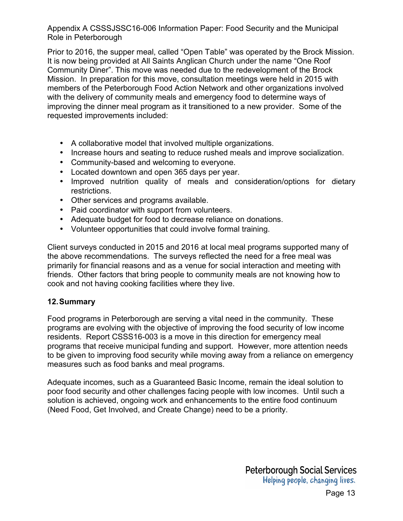Prior to 2016, the supper meal, called "Open Table" was operated by the Brock Mission. It is now being provided at All Saints Anglican Church under the name "One Roof Community Diner". This move was needed due to the redevelopment of the Brock Mission. In preparation for this move, consultation meetings were held in 2015 with members of the Peterborough Food Action Network and other organizations involved with the delivery of community meals and emergency food to determine ways of improving the dinner meal program as it transitioned to a new provider. Some of the requested improvements included:

- A collaborative model that involved multiple organizations.
- Increase hours and seating to reduce rushed meals and improve socialization.
- Community-based and welcoming to everyone.
- Located downtown and open 365 days per year.
- Improved nutrition quality of meals and consideration/options for dietary restrictions.
- Other services and programs available.
- Paid coordinator with support from volunteers.
- Adequate budget for food to decrease reliance on donations.
- Volunteer opportunities that could involve formal training.

Client surveys conducted in 2015 and 2016 at local meal programs supported many of the above recommendations. The surveys reflected the need for a free meal was primarily for financial reasons and as a venue for social interaction and meeting with friends. Other factors that bring people to community meals are not knowing how to cook and not having cooking facilities where they live.

#### **12. Summary**

Food programs in Peterborough are serving a vital need in the community. These programs are evolving with the objective of improving the food security of low income residents. Report CSSS16-003 is a move in this direction for emergency meal programs that receive municipal funding and support. However, more attention needs to be given to improving food security while moving away from a reliance on emergency measures such as food banks and meal programs.

Adequate incomes, such as a Guaranteed Basic Income, remain the ideal solution to poor food security and other challenges facing people with low incomes. Until such a solution is achieved, ongoing work and enhancements to the entire food continuum (Need Food, Get Involved, and Create Change) need to be a priority.